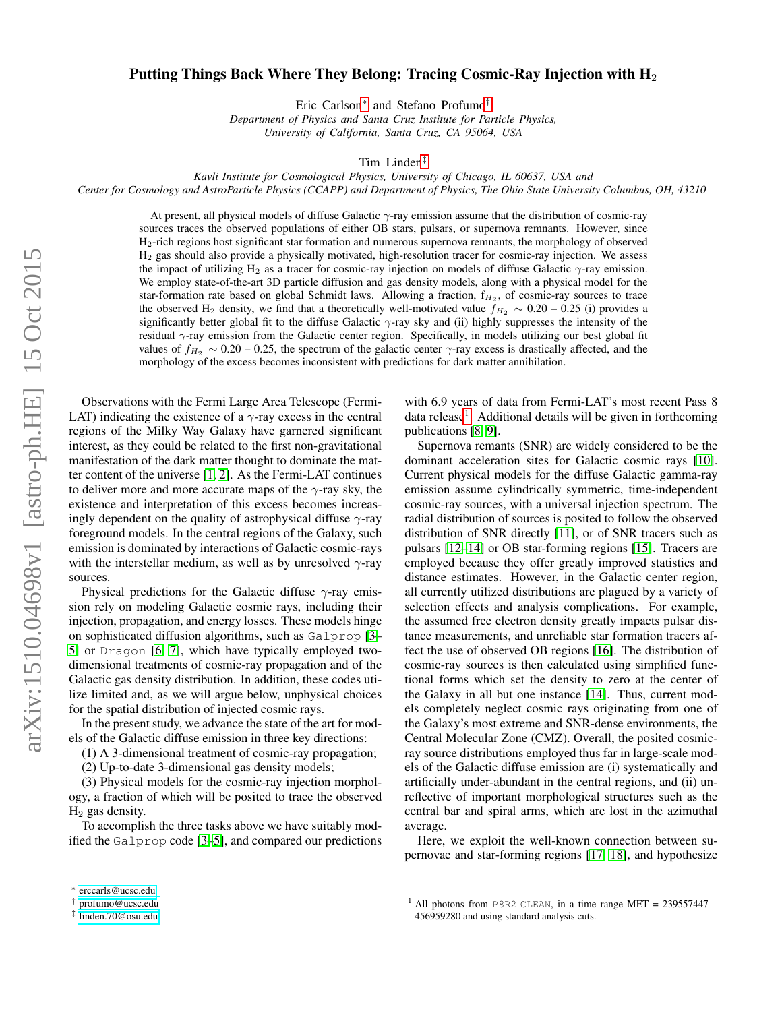## Putting Things Back Where They Belong: Tracing Cosmic-Ray Injection with  $H_2$

Eric Carlson[∗](#page-0-0) and Stefano Profumo[†](#page-0-1)

*Department of Physics and Santa Cruz Institute for Particle Physics, University of California, Santa Cruz, CA 95064, USA*

Tim Linden[‡](#page-0-2)

*Kavli Institute for Cosmological Physics, University of Chicago, IL 60637, USA and Center for Cosmology and AstroParticle Physics (CCAPP) and Department of Physics, The Ohio State University Columbus, OH, 43210*

At present, all physical models of diffuse Galactic γ-ray emission assume that the distribution of cosmic-ray sources traces the observed populations of either OB stars, pulsars, or supernova remnants. However, since H2-rich regions host significant star formation and numerous supernova remnants, the morphology of observed H<sup>2</sup> gas should also provide a physically motivated, high-resolution tracer for cosmic-ray injection. We assess the impact of utilizing H<sub>2</sub> as a tracer for cosmic-ray injection on models of diffuse Galactic  $\gamma$ -ray emission. We employ state-of-the-art 3D particle diffusion and gas density models, along with a physical model for the star-formation rate based on global Schmidt laws. Allowing a fraction,  $f_{H_2}$ , of cosmic-ray sources to trace the observed H<sub>2</sub> density, we find that a theoretically well-motivated value  $f_{H_2} \sim 0.20 - 0.25$  (i) provides a significantly better global fit to the diffuse Galactic  $\gamma$ -ray sky and (ii) highly suppresses the intensity of the residual γ-ray emission from the Galactic center region. Specifically, in models utilizing our best global fit values of  $f_{H_2} \sim 0.20 - 0.25$ , the spectrum of the galactic center  $\gamma$ -ray excess is drastically affected, and the morphology of the excess becomes inconsistent with predictions for dark matter annihilation.

Observations with the Fermi Large Area Telescope (Fermi-LAT) indicating the existence of a  $\gamma$ -ray excess in the central regions of the Milky Way Galaxy have garnered significant interest, as they could be related to the first non-gravitational manifestation of the dark matter thought to dominate the matter content of the universe [\[1,](#page-3-0) [2\]](#page-3-1). As the Fermi-LAT continues to deliver more and more accurate maps of the  $\gamma$ -ray sky, the existence and interpretation of this excess becomes increasingly dependent on the quality of astrophysical diffuse  $\gamma$ -ray foreground models. In the central regions of the Galaxy, such emission is dominated by interactions of Galactic cosmic-rays with the interstellar medium, as well as by unresolved  $\gamma$ -ray sources.

Physical predictions for the Galactic diffuse  $\gamma$ -ray emission rely on modeling Galactic cosmic rays, including their injection, propagation, and energy losses. These models hinge on sophisticated diffusion algorithms, such as Galprop [\[3–](#page-3-2) [5\]](#page-4-0) or Dragon [\[6,](#page-4-1) [7\]](#page-4-2), which have typically employed twodimensional treatments of cosmic-ray propagation and of the Galactic gas density distribution. In addition, these codes utilize limited and, as we will argue below, unphysical choices for the spatial distribution of injected cosmic rays.

In the present study, we advance the state of the art for models of the Galactic diffuse emission in three key directions:

(1) A 3-dimensional treatment of cosmic-ray propagation;

(2) Up-to-date 3-dimensional gas density models;

(3) Physical models for the cosmic-ray injection morphology, a fraction of which will be posited to trace the observed  $H<sub>2</sub>$  gas density.

To accomplish the three tasks above we have suitably modified the Galprop code [\[3](#page-3-2)[–5\]](#page-4-0), and compared our predictions with 6.9 years of data from Fermi-LAT's most recent Pass 8 data release<sup>[1](#page-0-3)</sup>. Additional details will be given in forthcoming publications [\[8,](#page-4-3) [9\]](#page-4-4).

Supernova remants (SNR) are widely considered to be the dominant acceleration sites for Galactic cosmic rays [\[10\]](#page-4-5). Current physical models for the diffuse Galactic gamma-ray emission assume cylindrically symmetric, time-independent cosmic-ray sources, with a universal injection spectrum. The radial distribution of sources is posited to follow the observed distribution of SNR directly [\[11\]](#page-4-6), or of SNR tracers such as pulsars [\[12](#page-4-7)[–14\]](#page-4-8) or OB star-forming regions [\[15\]](#page-4-9). Tracers are employed because they offer greatly improved statistics and distance estimates. However, in the Galactic center region, all currently utilized distributions are plagued by a variety of selection effects and analysis complications. For example, the assumed free electron density greatly impacts pulsar distance measurements, and unreliable star formation tracers affect the use of observed OB regions [\[16\]](#page-4-10). The distribution of cosmic-ray sources is then calculated using simplified functional forms which set the density to zero at the center of the Galaxy in all but one instance [\[14\]](#page-4-8). Thus, current models completely neglect cosmic rays originating from one of the Galaxy's most extreme and SNR-dense environments, the Central Molecular Zone (CMZ). Overall, the posited cosmicray source distributions employed thus far in large-scale models of the Galactic diffuse emission are (i) systematically and artificially under-abundant in the central regions, and (ii) unreflective of important morphological structures such as the central bar and spiral arms, which are lost in the azimuthal average.

Here, we exploit the well-known connection between supernovae and star-forming regions [\[17,](#page-4-11) [18\]](#page-4-12), and hypothesize

<span id="page-0-0"></span><sup>∗</sup> [erccarls@ucsc.edu](mailto:erccarls@ucsc.edu)

<span id="page-0-1"></span><sup>†</sup> [profumo@ucsc.edu](mailto:profumo@ucsc.edu)

<span id="page-0-2"></span><sup>‡</sup> [linden.70@osu.edu](mailto:linden.70@osu.edu)

<span id="page-0-3"></span><sup>&</sup>lt;sup>1</sup> All photons from P8R2\_CLEAN, in a time range MET =  $239557447$  – 456959280 and using standard analysis cuts.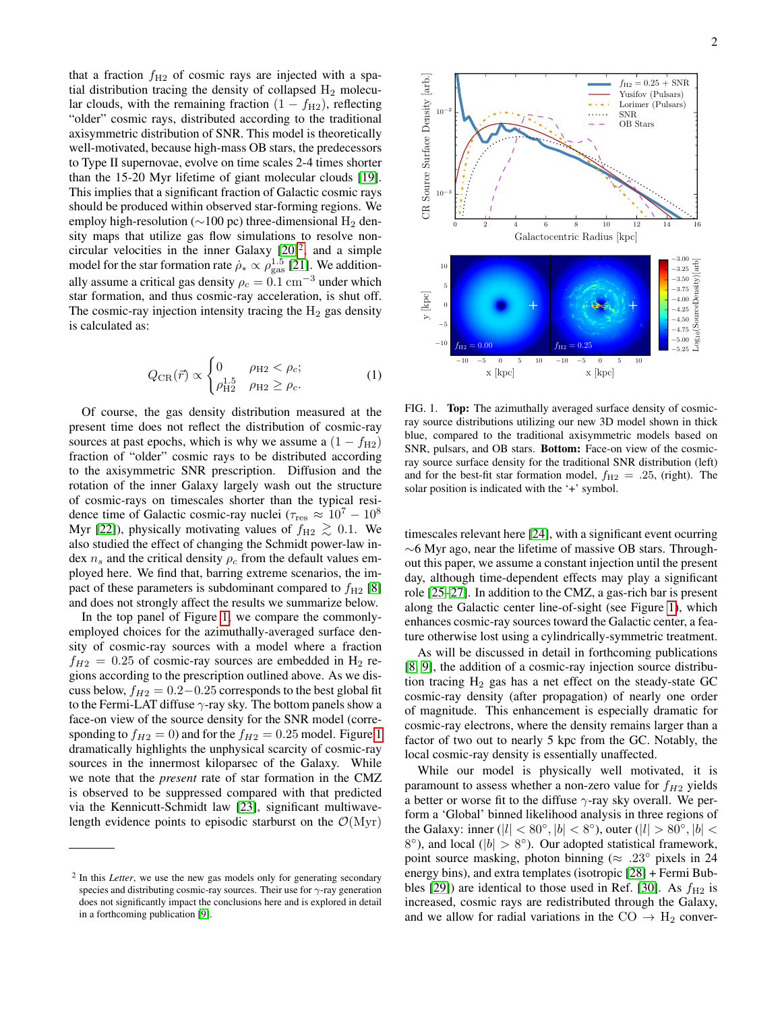that a fraction  $f_{\text{H2}}$  of cosmic rays are injected with a spatial distribution tracing the density of collapsed  $H_2$  molecular clouds, with the remaining fraction  $(1 - f_{H2})$ , reflecting "older" cosmic rays, distributed according to the traditional axisymmetric distribution of SNR. This model is theoretically well-motivated, because high-mass OB stars, the predecessors to Type II supernovae, evolve on time scales 2-4 times shorter than the 15-20 Myr lifetime of giant molecular clouds [\[19\]](#page-4-13). This implies that a significant fraction of Galactic cosmic rays should be produced within observed star-forming regions. We employ high-resolution ( $\sim$ 100 pc) three-dimensional H<sub>2</sub> density maps that utilize gas flow simulations to resolve noncircular velocities in the inner Galaxy  $[20]^2$  $[20]^2$  $[20]^2$ , and a simple model for the star formation rate  $\dot{\rho}_* \propto \rho_{\rm gas}^{1.5}$  [\[21\]](#page-4-15). We additionally assume a critical gas density  $\rho_c = 0.1 \text{ cm}^{-3}$  under which star formation, and thus cosmic-ray acceleration, is shut off. The cosmic-ray injection intensity tracing the  $H_2$  gas density is calculated as:

$$
Q_{\rm CR}(\vec{r}) \propto \begin{cases} 0 & \rho_{\rm H2} < \rho_c; \\ \rho_{\rm H2}^{1.5} & \rho_{\rm H2} \ge \rho_c. \end{cases}
$$
 (1)

Of course, the gas density distribution measured at the present time does not reflect the distribution of cosmic-ray sources at past epochs, which is why we assume a  $(1 - f_{\text{H2}})$ fraction of "older" cosmic rays to be distributed according to the axisymmetric SNR prescription. Diffusion and the rotation of the inner Galaxy largely wash out the structure of cosmic-rays on timescales shorter than the typical residence time of Galactic cosmic-ray nuclei ( $\tau_{\rm res} \approx 10^7 - 10^8$ Myr [\[22\]](#page-4-16)), physically motivating values of  $f_{H2} \gtrsim 0.1$ . We also studied the effect of changing the Schmidt power-law index  $n_s$  and the critical density  $\rho_c$  from the default values employed here. We find that, barring extreme scenarios, the impact of these parameters is subdominant compared to  $f_{H2}$  [\[8\]](#page-4-3) and does not strongly affect the results we summarize below.

In the top panel of Figure [1,](#page-1-1) we compare the commonlyemployed choices for the azimuthally-averaged surface density of cosmic-ray sources with a model where a fraction  $f_{H2} = 0.25$  of cosmic-ray sources are embedded in H<sub>2</sub> regions according to the prescription outlined above. As we discuss below,  $f_{H2} = 0.2 - 0.25$  corresponds to the best global fit to the Fermi-LAT diffuse  $\gamma$ -ray sky. The bottom panels show a face-on view of the source density for the SNR model (corresponding to  $f_{H2} = 0$ ) and for the  $f_{H2} = 0.25$  model. Figure [1](#page-1-1) dramatically highlights the unphysical scarcity of cosmic-ray sources in the innermost kiloparsec of the Galaxy. While we note that the *present* rate of star formation in the CMZ is observed to be suppressed compared with that predicted via the Kennicutt-Schmidt law [\[23\]](#page-4-17), significant multiwavelength evidence points to episodic starburst on the  $\mathcal{O}(Myr)$ 



<span id="page-1-1"></span>FIG. 1. Top: The azimuthally averaged surface density of cosmicray source distributions utilizing our new 3D model shown in thick blue, compared to the traditional axisymmetric models based on SNR, pulsars, and OB stars. Bottom: Face-on view of the cosmicray source surface density for the traditional SNR distribution (left) and for the best-fit star formation model,  $f_{H2} = .25$ , (right). The solar position is indicated with the '+' symbol.

timescales relevant here [\[24\]](#page-4-18), with a significant event ocurring ∼6 Myr ago, near the lifetime of massive OB stars. Throughout this paper, we assume a constant injection until the present day, although time-dependent effects may play a significant role [\[25](#page-4-19)[–27\]](#page-4-20). In addition to the CMZ, a gas-rich bar is present along the Galactic center line-of-sight (see Figure [1\)](#page-1-1), which enhances cosmic-ray sources toward the Galactic center, a feature otherwise lost using a cylindrically-symmetric treatment.

As will be discussed in detail in forthcoming publications [\[8,](#page-4-3) [9\]](#page-4-4), the addition of a cosmic-ray injection source distribution tracing  $H_2$  gas has a net effect on the steady-state GC cosmic-ray density (after propagation) of nearly one order of magnitude. This enhancement is especially dramatic for cosmic-ray electrons, where the density remains larger than a factor of two out to nearly 5 kpc from the GC. Notably, the local cosmic-ray density is essentially unaffected.

While our model is physically well motivated, it is paramount to assess whether a non-zero value for  $f_{H2}$  yields a better or worse fit to the diffuse  $\gamma$ -ray sky overall. We perform a 'Global' binned likelihood analysis in three regions of the Galaxy: inner ( $|l| < 80^{\circ}, |b| < 8^{\circ}$ ), outer ( $|l| > 80^{\circ}, |b| <$  $8^{\circ}$ ), and local ( $|b| > 8^{\circ}$ ). Our adopted statistical framework, point source masking, photon binning ( $\approx .23^{\circ}$  pixels in 24 energy bins), and extra templates (isotropic [\[28\]](#page-4-21) + Fermi Bub-bles [\[29\]](#page-4-22)) are identical to those used in Ref. [\[30\]](#page-4-23). As  $f_{\rm H2}$  is increased, cosmic rays are redistributed through the Galaxy, and we allow for radial variations in the  $CO \rightarrow H_2$  conver-

<span id="page-1-0"></span><sup>&</sup>lt;sup>2</sup> In this *Letter*, we use the new gas models only for generating secondary species and distributing cosmic-ray sources. Their use for  $\gamma$ -ray generation does not significantly impact the conclusions here and is explored in detail in a forthcoming publication [\[9\]](#page-4-4).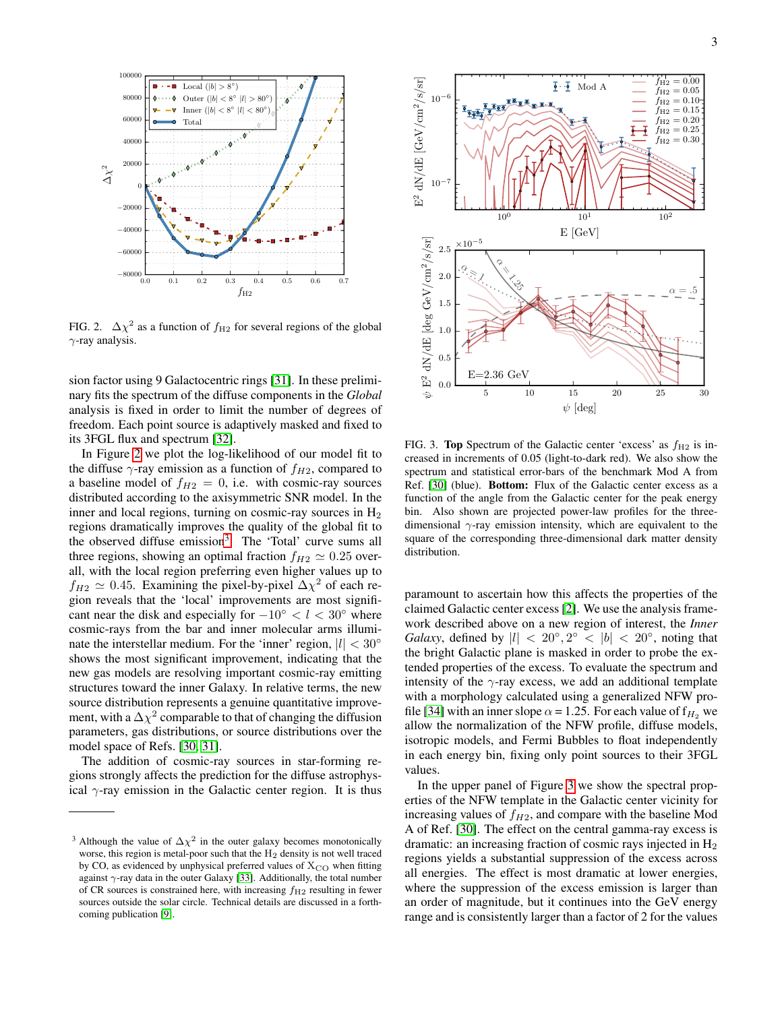

<span id="page-2-0"></span>FIG. 2.  $\Delta \chi^2$  as a function of  $f_{\text{H2}}$  for several regions of the global  $\gamma$ -ray analysis.

sion factor using 9 Galactocentric rings [\[31\]](#page-4-24). In these preliminary fits the spectrum of the diffuse components in the *Global* analysis is fixed in order to limit the number of degrees of freedom. Each point source is adaptively masked and fixed to its 3FGL flux and spectrum [\[32\]](#page-4-25).

In Figure [2](#page-2-0) we plot the log-likelihood of our model fit to the diffuse  $\gamma$ -ray emission as a function of  $f_{H2}$ , compared to a baseline model of  $f_{H2} = 0$ , i.e. with cosmic-ray sources distributed according to the axisymmetric SNR model. In the inner and local regions, turning on cosmic-ray sources in  $H_2$ regions dramatically improves the quality of the global fit to the observed diffuse emission<sup>[3](#page-2-1)</sup>. The 'Total' curve sums all three regions, showing an optimal fraction  $f_{H2} \simeq 0.25$  overall, with the local region preferring even higher values up to  $f_{H2} \simeq 0.45$ . Examining the pixel-by-pixel  $\Delta \chi^2$  of each region reveals that the 'local' improvements are most significant near the disk and especially for  $-10° < l < 30°$  where cosmic-rays from the bar and inner molecular arms illuminate the interstellar medium. For the 'inner' region,  $|l| < 30^{\circ}$ shows the most significant improvement, indicating that the new gas models are resolving important cosmic-ray emitting structures toward the inner Galaxy. In relative terms, the new source distribution represents a genuine quantitative improvement, with a  $\Delta \chi^2$  comparable to that of changing the diffusion parameters, gas distributions, or source distributions over the model space of Refs. [\[30,](#page-4-23) [31\]](#page-4-24).

The addition of cosmic-ray sources in star-forming regions strongly affects the prediction for the diffuse astrophysical  $\gamma$ -ray emission in the Galactic center region. It is thus



<span id="page-2-2"></span>FIG. 3. Top Spectrum of the Galactic center 'excess' as  $f_{H2}$  is increased in increments of 0.05 (light-to-dark red). We also show the spectrum and statistical error-bars of the benchmark Mod A from Ref. [\[30\]](#page-4-23) (blue). Bottom: Flux of the Galactic center excess as a function of the angle from the Galactic center for the peak energy bin. Also shown are projected power-law profiles for the threedimensional  $\gamma$ -ray emission intensity, which are equivalent to the square of the corresponding three-dimensional dark matter density distribution.

paramount to ascertain how this affects the properties of the claimed Galactic center excess [\[2\]](#page-3-1). We use the analysis framework described above on a new region of interest, the *Inner Galaxy*, defined by  $|l| < 20^{\circ}, 2^{\circ} < |b| < 20^{\circ}$ , noting that the bright Galactic plane is masked in order to probe the extended properties of the excess. To evaluate the spectrum and intensity of the  $\gamma$ -ray excess, we add an additional template with a morphology calculated using a generalized NFW pro-file [\[34\]](#page-4-27) with an inner slope  $\alpha = 1.25$ . For each value of  $f_{H_2}$  we allow the normalization of the NFW profile, diffuse models, isotropic models, and Fermi Bubbles to float independently in each energy bin, fixing only point sources to their 3FGL values.

In the upper panel of Figure [3](#page-2-2) we show the spectral properties of the NFW template in the Galactic center vicinity for increasing values of  $f_{H2}$ , and compare with the baseline Mod A of Ref. [\[30\]](#page-4-23). The effect on the central gamma-ray excess is dramatic: an increasing fraction of cosmic rays injected in  $H_2$ regions yields a substantial suppression of the excess across all energies. The effect is most dramatic at lower energies, where the suppression of the excess emission is larger than an order of magnitude, but it continues into the GeV energy range and is consistently larger than a factor of 2 for the values

<span id="page-2-1"></span><sup>&</sup>lt;sup>3</sup> Although the value of  $\Delta \chi^2$  in the outer galaxy becomes monotonically worse, this region is metal-poor such that the  $H_2$  density is not well traced by CO, as evidenced by unphysical preferred values of  $X_{\rm CO}$  when fitting against  $\gamma$ -ray data in the outer Galaxy [\[33\]](#page-4-26). Additionally, the total number of CR sources is constrained here, with increasing  $f_{H2}$  resulting in fewer sources outside the solar circle. Technical details are discussed in a forthcoming publication [\[9\]](#page-4-4).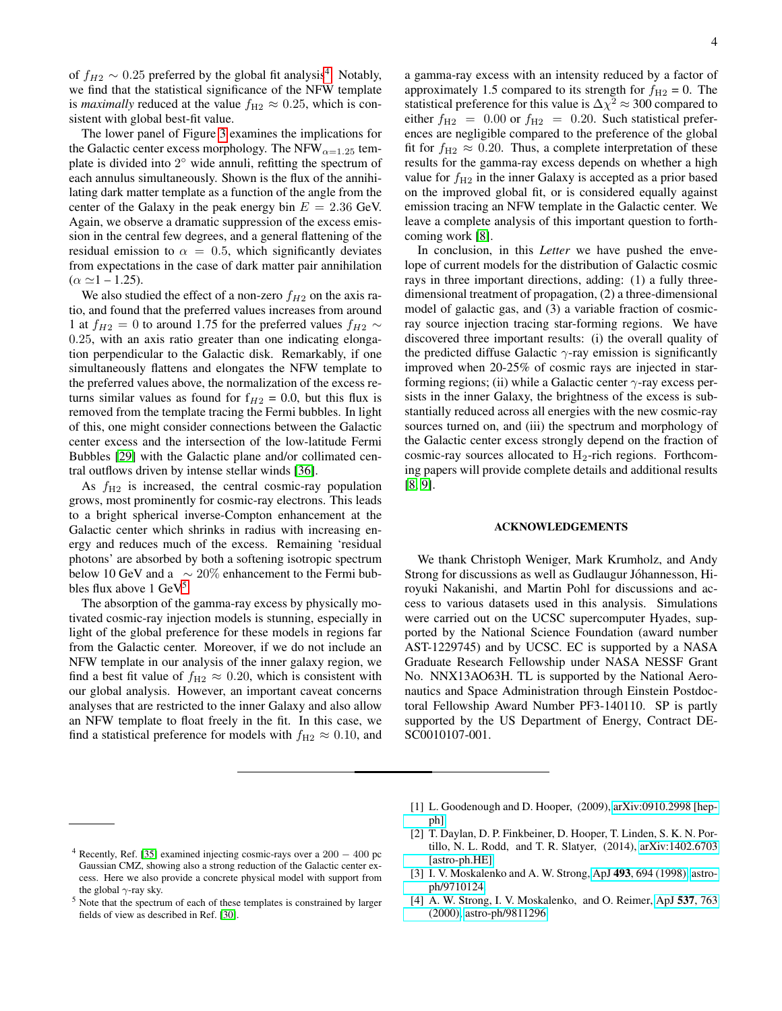of  $f_{H2} \sim 0.25$  preferred by the global fit analysis<sup>[4](#page-3-3)</sup>. Notably, we find that the statistical significance of the NFW template is *maximally* reduced at the value  $f_{H2} \approx 0.25$ , which is consistent with global best-fit value.

The lower panel of Figure [3](#page-2-2) examines the implications for the Galactic center excess morphology. The NFW $_{\alpha=1.25}$  template is divided into 2° wide annuli, refitting the spectrum of each annulus simultaneously. Shown is the flux of the annihilating dark matter template as a function of the angle from the center of the Galaxy in the peak energy bin  $E = 2.36$  GeV. Again, we observe a dramatic suppression of the excess emission in the central few degrees, and a general flattening of the residual emission to  $\alpha = 0.5$ , which significantly deviates from expectations in the case of dark matter pair annihilation  $(\alpha \simeq 1 - 1.25).$ 

We also studied the effect of a non-zero  $f_{H2}$  on the axis ratio, and found that the preferred values increases from around 1 at  $f_{H2} = 0$  to around 1.75 for the preferred values  $f_{H2} \sim$ 0.25, with an axis ratio greater than one indicating elongation perpendicular to the Galactic disk. Remarkably, if one simultaneously flattens and elongates the NFW template to the preferred values above, the normalization of the excess returns similar values as found for  $f_{H2} = 0.0$ , but this flux is removed from the template tracing the Fermi bubbles. In light of this, one might consider connections between the Galactic center excess and the intersection of the low-latitude Fermi Bubbles [\[29\]](#page-4-22) with the Galactic plane and/or collimated central outflows driven by intense stellar winds [\[36\]](#page-4-28).

As  $f_{\text{H2}}$  is increased, the central cosmic-ray population grows, most prominently for cosmic-ray electrons. This leads to a bright spherical inverse-Compton enhancement at the Galactic center which shrinks in radius with increasing energy and reduces much of the excess. Remaining 'residual photons' are absorbed by both a softening isotropic spectrum below 10 GeV and a  $∼ 20\%$  enhancement to the Fermi bubbles flux above  $1 \text{ GeV}^5$  $1 \text{ GeV}^5$ .

The absorption of the gamma-ray excess by physically motivated cosmic-ray injection models is stunning, especially in light of the global preference for these models in regions far from the Galactic center. Moreover, if we do not include an NFW template in our analysis of the inner galaxy region, we find a best fit value of  $f_{\text{H2}} \approx 0.20$ , which is consistent with our global analysis. However, an important caveat concerns analyses that are restricted to the inner Galaxy and also allow an NFW template to float freely in the fit. In this case, we find a statistical preference for models with  $f_{\text{H2}} \approx 0.10$ , and

a gamma-ray excess with an intensity reduced by a factor of approximately 1.5 compared to its strength for  $f_{\text{H2}} = 0$ . The statistical preference for this value is  $\Delta \chi^2 \approx 300$  compared to either  $f_{\text{H2}} = 0.00$  or  $f_{\text{H2}} = 0.20$ . Such statistical preferences are negligible compared to the preference of the global fit for  $f_{\text{H2}} \approx 0.20$ . Thus, a complete interpretation of these results for the gamma-ray excess depends on whether a high value for  $f_{H2}$  in the inner Galaxy is accepted as a prior based on the improved global fit, or is considered equally against emission tracing an NFW template in the Galactic center. We leave a complete analysis of this important question to forthcoming work [\[8\]](#page-4-3).

In conclusion, in this *Letter* we have pushed the envelope of current models for the distribution of Galactic cosmic rays in three important directions, adding: (1) a fully threedimensional treatment of propagation, (2) a three-dimensional model of galactic gas, and (3) a variable fraction of cosmicray source injection tracing star-forming regions. We have discovered three important results: (i) the overall quality of the predicted diffuse Galactic  $\gamma$ -ray emission is significantly improved when 20-25% of cosmic rays are injected in starforming regions; (ii) while a Galactic center  $\gamma$ -ray excess persists in the inner Galaxy, the brightness of the excess is substantially reduced across all energies with the new cosmic-ray sources turned on, and (iii) the spectrum and morphology of the Galactic center excess strongly depend on the fraction of cosmic-ray sources allocated to  $H_2$ -rich regions. Forthcoming papers will provide complete details and additional results [\[8,](#page-4-3) [9\]](#page-4-4).

## ACKNOWLEDGEMENTS

We thank Christoph Weniger, Mark Krumholz, and Andy Strong for discussions as well as Gudlaugur Jóhannesson, Hiroyuki Nakanishi, and Martin Pohl for discussions and access to various datasets used in this analysis. Simulations were carried out on the UCSC supercomputer Hyades, supported by the National Science Foundation (award number AST-1229745) and by UCSC. EC is supported by a NASA Graduate Research Fellowship under NASA NESSF Grant No. NNX13AO63H. TL is supported by the National Aeronautics and Space Administration through Einstein Postdoctoral Fellowship Award Number PF3-140110. SP is partly supported by the US Department of Energy, Contract DE-SC0010107-001.

- <span id="page-3-0"></span>[1] L. Goodenough and D. Hooper, (2009), [arXiv:0910.2998 \[hep](http://arxiv.org/abs/0910.2998)[ph\].](http://arxiv.org/abs/0910.2998)
- <span id="page-3-1"></span>[2] T. Daylan, D. P. Finkbeiner, D. Hooper, T. Linden, S. K. N. Portillo, N. L. Rodd, and T. R. Slatyer, (2014), [arXiv:1402.6703](http://arxiv.org/abs/1402.6703) [\[astro-ph.HE\].](http://arxiv.org/abs/1402.6703)
- <span id="page-3-2"></span>[3] I. V. Moskalenko and A. W. Strong, ApJ 493[, 694 \(1998\),](http://dx.doi.org/10.1086/305152) [astro](http://arxiv.org/abs/astro-ph/9710124)[ph/9710124.](http://arxiv.org/abs/astro-ph/9710124)
- [4] A. W. Strong, I. V. Moskalenko, and O. Reimer, ApJ 537[, 763](http://dx.doi.org/10.1086/309038) [\(2000\),](http://dx.doi.org/10.1086/309038) [astro-ph/9811296.](http://arxiv.org/abs/astro-ph/9811296)

<span id="page-3-3"></span><sup>&</sup>lt;sup>4</sup> Recently, Ref. [\[35\]](#page-4-29) examined injecting cosmic-rays over a  $200 - 400$  pc Gaussian CMZ, showing also a strong reduction of the Galactic center excess. Here we also provide a concrete physical model with support from the global  $\gamma$ -ray sky.

<span id="page-3-4"></span><sup>&</sup>lt;sup>5</sup> Note that the spectrum of each of these templates is constrained by larger fields of view as described in Ref. [\[30\]](#page-4-23).